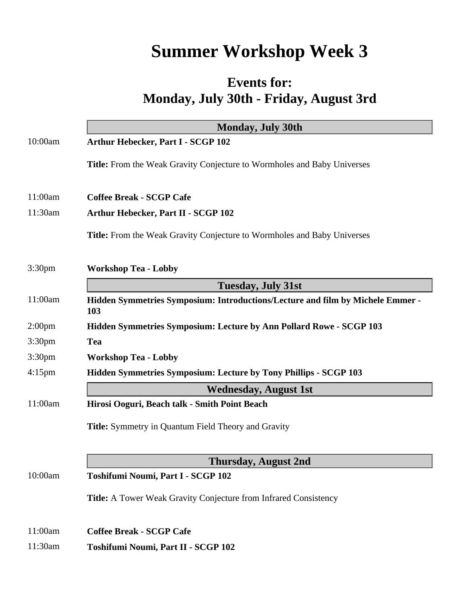## **Summer Workshop Week 3**

## **Events for: Monday, July 30th - Friday, August 3rd**

|                    | <b>Monday, July 30th</b>                                                              |
|--------------------|---------------------------------------------------------------------------------------|
| 10:00am            | Arthur Hebecker, Part I - SCGP 102                                                    |
|                    | Title: From the Weak Gravity Conjecture to Wormholes and Baby Universes               |
| 11:00am            | <b>Coffee Break - SCGP Cafe</b>                                                       |
| 11:30am            | <b>Arthur Hebecker, Part II - SCGP 102</b>                                            |
|                    | <b>Title:</b> From the Weak Gravity Conjecture to Wormholes and Baby Universes        |
| 3:30 <sub>pm</sub> | <b>Workshop Tea - Lobby</b>                                                           |
|                    | <b>Tuesday, July 31st</b>                                                             |
| 11:00am            | Hidden Symmetries Symposium: Introductions/Lecture and film by Michele Emmer -<br>103 |
| 2:00 <sub>pm</sub> | Hidden Symmetries Symposium: Lecture by Ann Pollard Rowe - SCGP 103                   |
| 3:30 <sub>pm</sub> | <b>Tea</b>                                                                            |
| 3:30 <sub>pm</sub> | <b>Workshop Tea - Lobby</b>                                                           |
| $4:15$ pm          | Hidden Symmetries Symposium: Lecture by Tony Phillips - SCGP 103                      |
|                    | <b>Wednesday, August 1st</b>                                                          |
| 11:00am            | Hirosi Ooguri, Beach talk - Smith Point Beach                                         |
|                    | <b>Title:</b> Symmetry in Quantum Field Theory and Gravity                            |
|                    | <b>Thursday, August 2nd</b>                                                           |
| 10:00am            | Toshifumi Noumi, Part I - SCGP 102                                                    |
|                    | <b>Title:</b> A Tower Weak Gravity Conjecture from Infrared Consistency               |
| 11:00am            | <b>Coffee Break - SCGP Cafe</b>                                                       |
| 11:30am            | Toshifumi Noumi, Part II - SCGP 102                                                   |